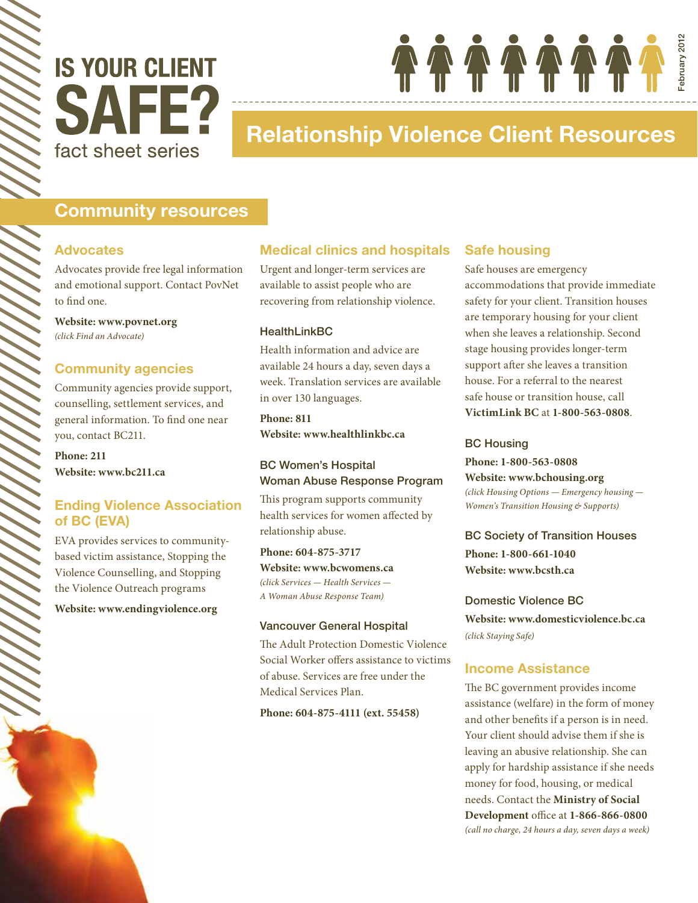

# Relationship Violence Client Resources

## Community resources

#### Advocates

Advocates provide free legal information and emotional support. Contact PovNet to find one.

**Website: www.povnet.org**  *(click Find an Advocate)*

#### Community agencies

Community agencies provide support, counselling, settlement services, and general information. To find one near you, contact BC211.

**Phone: 211 Website: www.bc211.ca**

### Ending Violence Association of BC (EVA)

EVA provides services to communitybased victim assistance, Stopping the Violence Counselling, and Stopping the Violence Outreach programs

**Website: www.endingviolence.org**

#### Medical clinics and hospitals

Urgent and longer-term services are available to assist people who are recovering from relationship violence.

#### **HealthLinkBC**

Health information and advice are available 24 hours a day, seven days a week. Translation services are available in over 130 languages.

**Phone: 811 Website: www.healthlinkbc.ca**

#### BC Women's Hospital Woman Abuse Response Program

This program supports community health services for women affected by relationship abuse.

**Phone: 604-875-3717 Website: www.bcwomens.ca**  *(click Services — Health Services — A Woman Abuse Response Team)*

#### Vancouver General Hospital

The Adult Protection Domestic Violence Social Worker offers assistance to victims of abuse. Services are free under the Medical Services Plan.

**Phone: 604-875-4111 (ext. 55458)**

#### Safe housing

66666666

Safe houses are emergency accommodations that provide immediate safety for your client. Transition houses are temporary housing for your client when she leaves a relationship. Second stage housing provides longer-term support after she leaves a transition house. For a referral to the nearest safe house or transition house, call **VictimLink BC** at **1-800-563-0808**.

February 2012bruary 2012

#### BC Housing

**Phone: 1-800-563-0808 Website: www.bchousing.org**  *(click Housing Options — Emergency housing — Women's Transition Housing & Supports)*

BC Society of Transition Houses **Phone: 1-800-661-1040 Website: www.bcsth.ca**

Domestic Violence BC **Website: www.domesticviolence.bc.ca** *(click Staying Safe)*

#### Income Assistance

The BC government provides income assistance (welfare) in the form of money and other benefits if a person is in need. Your client should advise them if she is leaving an abusive relationship. She can apply for hardship assistance if she needs money for food, housing, or medical needs. Contact the **Ministry of Social Development** office at **1-866-866-0800** *(call no charge, 24 hours a day, seven days a week)*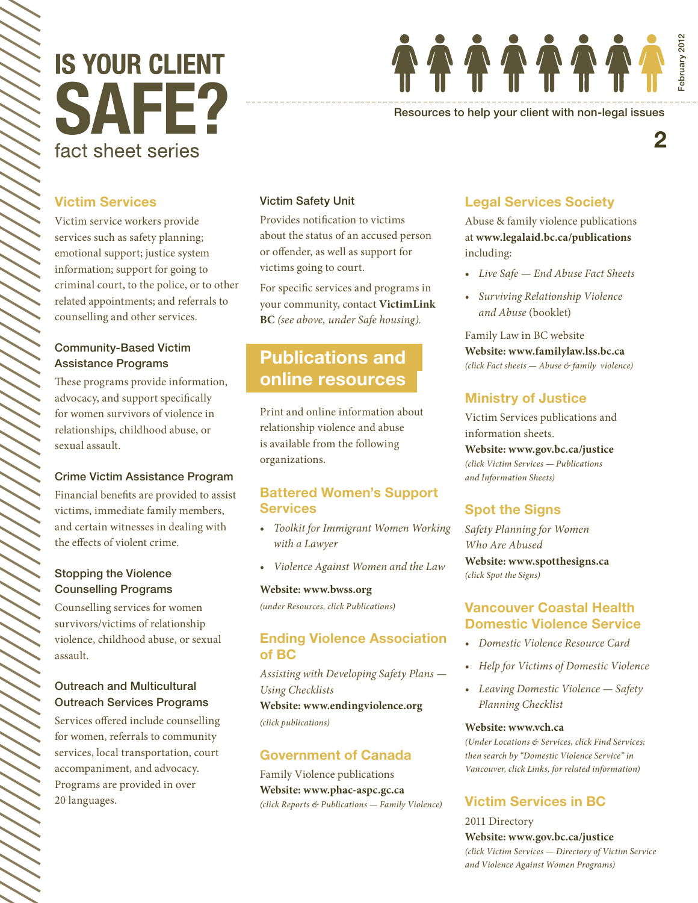# **IS YOUR CLIENT** SAFF? fact sheet series



Resources to help your client with non-legal issues

## Victim Services

Victim service workers provide services such as safety planning; emotional support; justice system information; support for going to criminal court, to the police, or to other related appointments; and referrals to counselling and other services.

#### Community-Based Victim Assistance Programs

These programs provide information, advocacy, and support specifically for women survivors of violence in relationships, childhood abuse, or sexual assault.

#### Crime Victim Assistance Program

Financial benefits are provided to assist victims, immediate family members, and certain witnesses in dealing with the effects of violent crime.

#### Stopping the Violence Counselling Programs

Counselling services for women survivors/victims of relationship violence, childhood abuse, or sexual assault.

#### Outreach and Multicultural Outreach Services Programs

Services offered include counselling for women, referrals to community services, local transportation, court accompaniment, and advocacy. Programs are provided in over 20 languages.

#### Victim Safety Unit

Provides notification to victims about the status of an accused person or offender, as well as support for victims going to court.

For specific services and programs in your community, contact **VictimLink BC** *(see above, under Safe housing).*

# Publications and online resources

Print and online information about relationship violence and abuse is available from the following organizations.

#### Battered Women's Support **Services**

- *Toolkit for Immigrant Women Working with a Lawyer*
- *Violence Against Women and the Law*

#### **Website: www.bwss.org**

*(under Resources, click Publications)*

#### Ending Violence Association of BC

*Assisting with Developing Safety Plans — Using Checklists*

**Website: www.endingviolence.org** *(click publications)*

#### Government of Canada

Family Violence publications **Website: www.phac-aspc.gc.ca** *(click Reports & Publications — Family Violence)*

### Legal Services Society

Abuse & family violence publications at **www.legalaid.bc.ca/publications** including:

- *Live Safe End Abuse Fact Sheets*
- *Surviving Relationship Violence and Abuse* (booklet)

Family Law in BC website **Website: www.familylaw.lss.bc.ca** *(click Fact sheets — Abuse & family violence)*

#### Ministry of Justice

Victim Services publications and information sheets.

**Website: www.gov.bc.ca/justice**  *(click Victim Services — Publications and Information Sheets)*

#### Spot the Signs

*Safety Planning for Women Who Are Abused* **Website: www.spotthesigns.ca** *(click Spot the Signs)*

#### Vancouver Coastal Health Domestic Violence Service

- *Domestic Violence Resource Card*
- *Help for Victims of Domestic Violence*
- *Leaving Domestic Violence Safety Planning Checklist*

#### **Website: www.vch.ca**

*(Under Locations & Services, click Find Services; then search by "Domestic Violence Service" in Vancouver, click Links, for related information)*

## Victim Services in BC

2011 Directory **Website: www.gov.bc.ca/justice** *(click Victim Services — Directory of Victim Service and Violence Against Women Programs)*